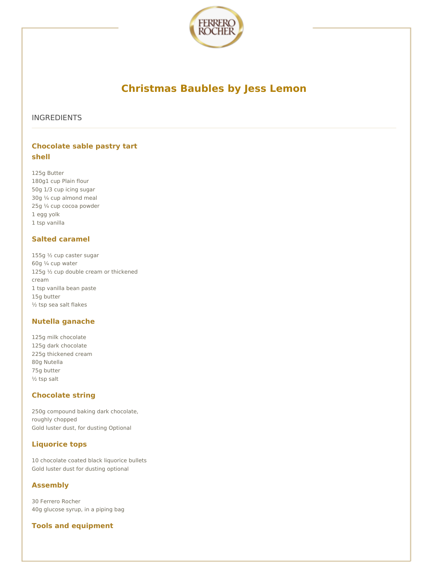

# **Christmas Baubles by Jess Lemon**

## INGREDIENTS

# **Chocolate sable pastry tart shell**

125g Butter 180g1 cup Plain flour 50g 1/3 cup icing sugar 30g ¼ cup almond meal 25g ¼ cup cocoa powder 1 egg yolk 1 tsp vanilla

### **Salted caramel**

155g ½ cup caster sugar 60g ¼ cup water 125g 1/2 cup double cream or thickened cream 1 tsp vanilla bean paste 15g butter ½ tsp sea salt flakes

### **Nutella ganache**

125g milk chocolate 125g dark chocolate 225g thickened cream 80g Nutella 75g butter ½ tsp salt

# **Chocolate string**

250g compound baking dark chocolate, roughly chopped Gold luster dust, for dusting Optional

# **Liquorice tops**

10 chocolate coated black liquorice bullets Gold luster dust for dusting optional

### **Assembly**

30 Ferrero Rocher 40g glucose syrup, in a piping bag

# **Tools and equipment**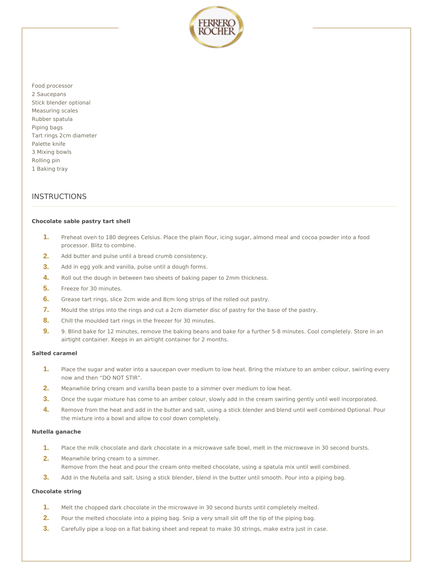

Food processor 2 Saucepans Stick blender optional Measuring scales Rubber spatula Piping bags Tart rings 2cm diameter Palette knife 3 Mixing bowls Rolling pin 1 Baking tray

## **INSTRUCTIONS**

#### **Chocolate sable pastry tart shell**

- Preheat oven to 180 degrees Celsius. Place the plain flour, icing sugar, almond meal and cocoa powder into a food processor. Blitz to combine. **1.**
- **2.** Add butter and pulse until a bread crumb consistency.
- **3.** Add in egg yolk and vanilla, pulse until a dough forms.
- **4.** Roll out the dough in between two sheets of baking paper to 2mm thickness.
- **5.** Freeze for 30 minutes.
- **6.** Grease tart rings, slice 2cm wide and 8cm long strips of the rolled out pastry.
- **7.** Mould the strips into the rings and cut a 2cm diameter disc of pastry for the base of the pastry.
- **8.** Chill the moulded tart rings in the freezer for 30 minutes.
- 9. Blind bake for 12 minutes, remove the baking beans and bake for a further 5-8 minutes. Cool completely. Store in an airtight container. Keeps in an airtight container for 2 months. **9.**

#### **Salted caramel**

- Place the sugar and water into a saucepan over medium to low heat. Bring the mixture to an amber colour, swirling every now and then "DO NOT STIR". **1.**
- **2.** Meanwhile bring cream and vanilla bean paste to a simmer over medium to low heat.
- **3.** Once the sugar mixture has come to an amber colour, slowly add in the cream swirling gently until well incorporated.
- Remove from the heat and add in the butter and salt, using a stick blender and blend until well combined Optional. Pour the mixture into a bowl and allow to cool down completely. **4.**

#### **Nutella ganache**

- **1.** Place the milk chocolate and dark chocolate in a microwave safe bowl, melt in the microwave in 30 second bursts.
- Meanwhile bring cream to a simmer. Remove from the heat and pour the cream onto melted chocolate, using a spatula mix until well combined. **2.**
- **3.** Add in the Nutella and salt. Using a stick blender, blend in the butter until smooth. Pour into a piping bag.

#### **Chocolate string**

- **1.** Melt the chopped dark chocolate in the microwave in 30 second bursts until completely melted.
- **2.** Pour the melted chocolate into a piping bag. Snip a very small slit off the tip of the piping bag.
- **3.** Carefully pipe a loop on a flat baking sheet and repeat to make 30 strings, make extra just in case.